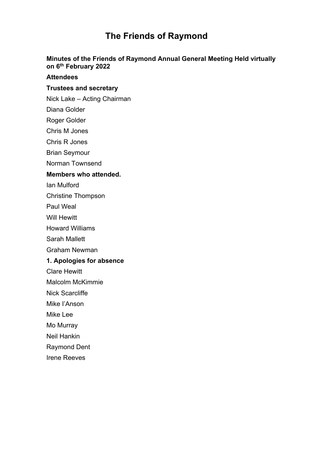# **The Friends of Raymond**

#### **Minutes of the Friends of Raymond Annual General Meeting Held virtually on 6th February 2022**

#### **Attendees**

# **Trustees and secretary**

- Nick Lake Acting Chairman
- Diana Golder
- Roger Golder
- Chris M Jones
- Chris R Jones
- Brian Seymour
- Norman Townsend

#### **Members who attended.**

- Ian Mulford
- Christine Thompson
- Paul Weal
- Will Hewitt
- Howard Williams
- Sarah Mallett
- Graham Newman

#### **1. Apologies for absence**

- Clare Hewitt
- Malcolm McKimmie
- Nick Scarcliffe
- Mike I'Anson
- Mike Lee
- Mo Murray
- Neil Hankin
- Raymond Dent
- Irene Reeves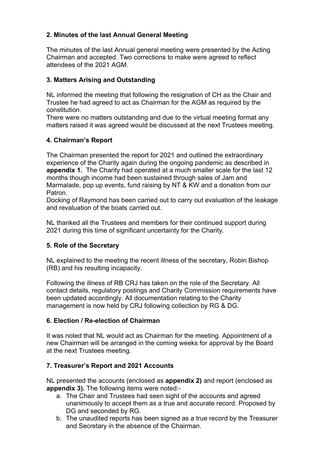# **2. Minutes of the last Annual General Meeting**

The minutes of the last Annual general meeting were presented by the Acting Chairman and accepted. Two corrections to make were agreed to reflect attendees of the 2021 AGM.

# **3. Matters Arising and Outstanding**

NL informed the meeting that following the resignation of CH as the Chair and Trustee he had agreed to act as Chairman for the AGM as required by the constitution.

There were no matters outstanding and due to the virtual meeting format any matters raised it was agreed would be discussed at the next Trustees meeting.

# **4. Chairman's Report**

The Chairman presented the report for 2021 and outlined the extraordinary experience of the Charity again during the ongoing pandemic as described in **appendix 1.** The Charity had operated at a much smaller scale for the last 12 months though income had been sustained through sales of Jam and Marmalade, pop up events, fund raising by NT & KW and a donation from our Patron.

Docking of Raymond has been carried out to carry out evaluation of the leakage and revaluation of the boats carried out.

NL thanked all the Trustees and members for their continued support during 2021 during this time of significant uncertainty for the Charity.

## **5. Role of the Secretary**

NL explained to the meeting the recent illness of the secretary, Robin Bishop (RB) and his resulting incapacity.

Following the illness of RB CRJ has taken on the role of the Secretary. All contact details, regulatory postings and Charity Commission requirements have been updated accordingly. All documentation relating to the Charity management is now held by CRJ following collection by RG & DG.

## **6. Election / Re-election of Chairman**

It was noted that NL would act as Chairman for the meeting. Appointment of a new Chairman will be arranged in the coming weeks for approval by the Board at the next Trustees meeting.

## **7. Treasurer's Report and 2021 Accounts**

NL presented the accounts (enclosed as **appendix 2)** and report (enclosed as **appendix 3).** The following items were noted:-

- a. The Chair and Trustees had seen sight of the accounts and agreed unanimously to accept them as a true and accurate record. Proposed by DG and seconded by RG.
- b. The unaudited reports has been signed as a true record by the Treasurer and Secretary in the absence of the Chairman.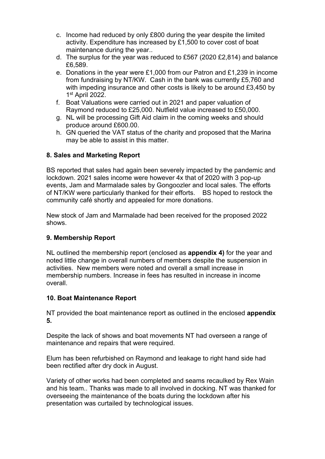- c. Income had reduced by only £800 during the year despite the limited activity. Expenditure has increased by £1,500 to cover cost of boat maintenance during the year..
- d. The surplus for the year was reduced to £567 (2020 £2,814) and balance £6,589.
- e. Donations in the year were £1,000 from our Patron and £1,239 in income from fundraising by NT/KW. Cash in the bank was currently £5,760 and with impeding insurance and other costs is likely to be around £3,450 by 1 st April 2022.
- f. Boat Valuations were carried out in 2021 and paper valuation of Raymond reduced to £25,000. Nutfield value increased to £50,000.
- g. NL will be processing Gift Aid claim in the coming weeks and should produce around £600.00.
- h. GN queried the VAT status of the charity and proposed that the Marina may be able to assist in this matter.

## **8. Sales and Marketing Report**

BS reported that sales had again been severely impacted by the pandemic and lockdown. 2021 sales income were however 4x that of 2020 with 3 pop-up events, Jam and Marmalade sales by Gongoozler and local sales. The efforts of NT/KW were particularly thanked for their efforts. BS hoped to restock the community café shortly and appealed for more donations.

New stock of Jam and Marmalade had been received for the proposed 2022 shows.

#### **9. Membership Report**

NL outlined the membership report (enclosed as **appendix 4)** for the year and noted little change in overall numbers of members despite the suspension in activities. New members were noted and overall a small increase in membership numbers. Increase in fees has resulted in increase in income overall.

## **10. Boat Maintenance Report**

NT provided the boat maintenance report as outlined in the enclosed **appendix 5.**

Despite the lack of shows and boat movements NT had overseen a range of maintenance and repairs that were required.

Elum has been refurbished on Raymond and leakage to right hand side had been rectified after dry dock in August.

Variety of other works had been completed and seams recaulked by Rex Wain and his team.. Thanks was made to all involved in docking. NT was thanked for overseeing the maintenance of the boats during the lockdown after his presentation was curtailed by technological issues.